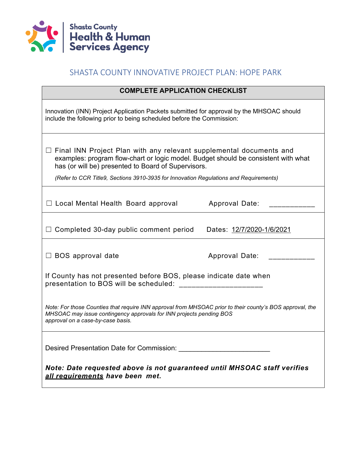

## SHASTA COUNTY INNOVATIVE PROJECT PLAN: HOPE PARK

| <b>COMPLETE APPLICATION CHECKLIST</b>                                                                                                                                                                                                                                                                            |  |  |  |  |  |
|------------------------------------------------------------------------------------------------------------------------------------------------------------------------------------------------------------------------------------------------------------------------------------------------------------------|--|--|--|--|--|
| Innovation (INN) Project Application Packets submitted for approval by the MHSOAC should<br>include the following prior to being scheduled before the Commission:                                                                                                                                                |  |  |  |  |  |
| $\Box$ Final INN Project Plan with any relevant supplemental documents and<br>examples: program flow-chart or logic model. Budget should be consistent with what<br>has (or will be) presented to Board of Supervisors.<br>(Refer to CCR Title9, Sections 3910-3935 for Innovation Regulations and Requirements) |  |  |  |  |  |
|                                                                                                                                                                                                                                                                                                                  |  |  |  |  |  |
| $\Box$ Local Mental Health Board approval<br>Approval Date:                                                                                                                                                                                                                                                      |  |  |  |  |  |
|                                                                                                                                                                                                                                                                                                                  |  |  |  |  |  |
| Completed 30-day public comment period<br>Dates: 12/7/2020-1/6/2021                                                                                                                                                                                                                                              |  |  |  |  |  |
| $\Box$ BOS approval date<br>Approval Date:                                                                                                                                                                                                                                                                       |  |  |  |  |  |
| If County has not presented before BOS, please indicate date when<br>presentation to BOS will be scheduled:                                                                                                                                                                                                      |  |  |  |  |  |
| Note: For those Counties that require INN approval from MHSOAC prior to their county's BOS approval, the<br>MHSOAC may issue contingency approvals for INN projects pending BOS<br>approval on a case-by-case basis.                                                                                             |  |  |  |  |  |
| Desired Presentation Date for Commission: Networkships are also also been been                                                                                                                                                                                                                                   |  |  |  |  |  |
| Note: Date requested above is not guaranteed until MHSOAC staff verifies<br>all requirements have been met.                                                                                                                                                                                                      |  |  |  |  |  |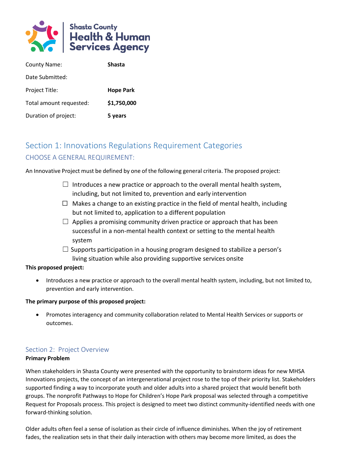

| <b>County Name:</b>     | <b>Shasta</b>    |
|-------------------------|------------------|
| Date Submitted:         |                  |
| Project Title:          | <b>Hope Park</b> |
| Total amount requested: | \$1,750,000      |
| Duration of project:    | 5 years          |

# Section 1: Innovations Regulations Requirement Categories CHOOSE A GENERAL REQUIREMENT:

An Innovative Project must be defined by one of the following general criteria. The proposed project:

- $\Box$  Introduces a new practice or approach to the overall mental health system, including, but not limited to, prevention and early intervention
- $\Box$  Makes a change to an existing practice in the field of mental health, including but not limited to, application to a different population
- $\Box$  Applies a promising community driven practice or approach that has been successful in a non-mental health context or setting to the mental health system
- $\Box$  Supports participation in a housing program designed to stabilize a person's living situation while also providing supportive services onsite

### **This proposed project:**

• Introduces a new practice or approach to the overall mental health system, including, but not limited to, prevention and early intervention.

### **The primary purpose of this proposed project:**

• Promotes interagency and community collaboration related to Mental Health Services or supports or outcomes.

### Section 2: Project Overview

### **Primary Problem**

When stakeholders in Shasta County were presented with the opportunity to brainstorm ideas for new MHSA Innovations projects, the concept of an intergenerational project rose to the top of their priority list. Stakeholders supported finding a way to incorporate youth and older adults into a shared project that would benefit both groups. The nonprofit Pathways to Hope for Children's Hope Park proposal was selected through a competitive Request for Proposals process. This project is designed to meet two distinct community-identified needs with one forward-thinking solution.

Older adults often feel a sense of isolation as their circle of influence diminishes. When the joy of retirement fades, the realization sets in that their daily interaction with others may become more limited, as does the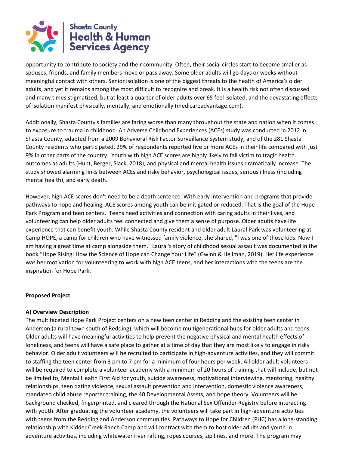

opportunity to contribute to society and their community. Often, their social circles start to become smaller as spouses, friends, and family members move or pass away. Some older adults will go days or weeks without meaningful contact with others. Senior isolation is one of the biggest threats to the health of America's older adults, and yet it remains among the most difficult to recognize and break. It is a health risk not often discussed and many times stigmatized, but at least a quarter of older adults over 65 feel isolated, and the devastating effects of isolation manifest physically, mentally, and emotionally (medicareadvantage.com).

Additionally, Shasta County's families are faring worse than many throughout the state and nation when it comes to exposure to trauma in childhood. An Adverse Childhood Experiences (ACEs) study was conducted in 2012 in Shasta County, adapted from a 2009 Behavioral Risk Factor Surveillance System study, and of the 281 Shasta County residents who participated, 29% of respondents reported five or more ACEs in their life compared with just 9% in other parts of the country. Youth with high ACE scores are highly likely to fall victim to tragic health outcomes as adults (Hunt, Berger, Slack, 2018), and physical and mental health issues dramatically increase. The study showed alarming links between ACEs and risky behavior, psychological issues, serious illness (including mental health), and early death.

However, high ACE scores don't need to be a death sentence. With early intervention and programs that provide pathways to hope and healing, ACE scores among youth can be mitigated or reduced. That is the goal of the Hope Park Program and teen centers. Teens need activities and connection with caring adults in their lives, and volunteering can help older adults feel connected and give them a sense of purpose. Older adults have life experience that can benefit youth. While Shasta County resident and older adult Laural Park was volunteering at Camp HOPE, a camp for children who have witnessed family violence, she shared, "l was one of those kids. Now I am having a great time at camp alongside them." Laural's story of childhood sexual assault was documented in the book "Hope Rising: How the Science of Hope can Change Your Life" (Gwinn & Hellman, 2019). Her life experience was her motivation for volunteering to work with high ACE teens, and her interactions with the teens are the inspiration for Hope Park.

### **Proposed Project**

### **A) Overview Description**

The multifaceted Hope Park Project centers on a new teen center in Redding and the existing teen center in Anderson (a rural town south of Redding), which will become multigenerational hubs for older adults and teens. Older adults will have meaningful activities to help prevent the negative physical and mental health effects of loneliness, and teens will have a safe place to gather at a time of day that they are most likely to engage in risky behavior. Older adult volunteers will be recruited to participate in high-adventure activities, and they will commit to staffing the teen center from 3 pm to 7 pm for a minimum of four hours per week. All older adult volunteers will be required to complete a volunteer academy with a minimum of 20 hours of training that will include, but not be limited to, Mental Health First Aid for youth, suicide awareness, motivational interviewing, mentoring, healthy relationships, teen dating violence, sexual assault prevention and intervention, domestic violence awareness, mandated child abuse reporter training, the 40 Developmental Assets, and hope theory. Volunteers will be background checked, fingerprinted, and cleared through the National Sex Offender Registry before interacting with youth. After graduating the volunteer academy, the volunteers will take part in high-adventure activities with teens from the Redding and Anderson communities. Pathways to Hope for Children (PHC) has a long-standing relationship with Kidder Creek Ranch Camp and will contract with them to host older adults and youth in adventure activities, including whitewater river rafting, ropes courses, zip lines, and more. The program may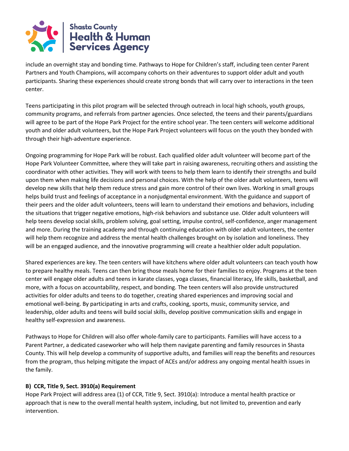

include an overnight stay and bonding time. Pathways to Hope for Children's staff, including teen center Parent Partners and Youth Champions, will accompany cohorts on their adventures to support older adult and youth participants. Sharing these experiences should create strong bonds that will carry over to interactions in the teen center.

Teens participating in this pilot program will be selected through outreach in local high schools, youth groups, community programs, and referrals from partner agencies. Once selected, the teens and their parents/guardians will agree to be part of the Hope Park Project for the entire school year. The teen centers will welcome additional youth and older adult volunteers, but the Hope Park Project volunteers will focus on the youth they bonded with through their high-adventure experience.

Ongoing programming for Hope Park will be robust. Each qualified older adult volunteer will become part of the Hope Park Volunteer Committee, where they will take part in raising awareness, recruiting others and assisting the coordinator with other activities. They will work with teens to help them learn to identify their strengths and build upon them when making life decisions and personal choices. With the help of the older adult volunteers, teens will develop new skills that help them reduce stress and gain more control of their own lives. Working in small groups helps build trust and feelings of acceptance in a nonjudgmental environment. With the guidance and support of their peers and the older adult volunteers, teens will learn to understand their emotions and behaviors, including the situations that trigger negative emotions, high-risk behaviors and substance use. Older adult volunteers will help teens develop social skills, problem solving, goal setting, impulse control, self-confidence, anger management and more. During the training academy and through continuing education with older adult volunteers, the center will help them recognize and address the mental health challenges brought on by isolation and loneliness. They will be an engaged audience, and the innovative programming will create a healthier older adult population.

Shared experiences are key. The teen centers will have kitchens where older adult volunteers can teach youth how to prepare healthy meals. Teens can then bring those meals home for their families to enjoy. Programs at the teen center will engage older adults and teens in karate classes, yoga classes, financial literacy, life skills, basketball, and more, with a focus on accountability, respect, and bonding. The teen centers will also provide unstructured activities for older adults and teens to do together, creating shared experiences and improving social and emotional well-being. By participating in arts and crafts, cooking, sports, music, community service, and leadership, older adults and teens will build social skills, develop positive communication skills and engage in healthy self-expression and awareness.

Pathways to Hope for Children will also offer whole-family care to participants. Families will have access to a Parent Partner, a dedicated caseworker who will help them navigate parenting and family resources in Shasta County. This will help develop a community of supportive adults, and families will reap the benefits and resources from the program, thus helping mitigate the impact of ACEs and/or address any ongoing mental health issues in the family.

### **B) CCR, Title 9, Sect. 3910(a) Requirement**

Hope Park Project will address area (1) of CCR, Title 9, Sect. 3910(a): Introduce a mental health practice or approach that is new to the overall mental health system, including, but not limited to, prevention and early intervention.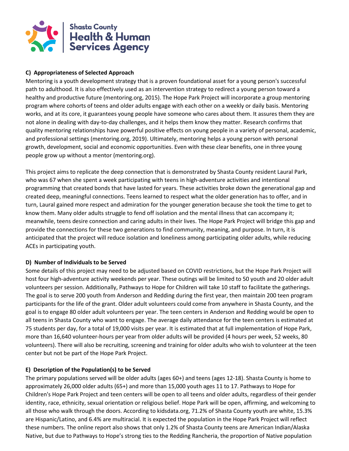

### **C) Appropriateness of Selected Approach**

Mentoring is a youth development strategy that is a proven foundational asset for a young person's successful path to adulthood. It is also effectively used as an intervention strategy to redirect a young person toward a healthy and productive future (mentoring.org, 2015). The Hope Park Project will incorporate a group mentoring program where cohorts of teens and older adults engage with each other on a weekly or daily basis. Mentoring works, and at its core, it guarantees young people have someone who cares about them. It assures them they are not alone in dealing with day-to-day challenges, and it helps them know they matter. Research confirms that quality mentoring relationships have powerful positive effects on young people in a variety of personal, academic, and professional settings (mentoring.org, 2019). Ultimately, mentoring helps a young person with personal growth, development, social and economic opportunities. Even with these clear benefits, one in three young people grow up without a mentor (mentoring.org).

This project aims to replicate the deep connection that is demonstrated by Shasta County resident Laural Park, who was 67 when she spent a week participating with teens in high-adventure activities and intentional programming that created bonds that have lasted for years. These activities broke down the generational gap and created deep, meaningful connections. Teens learned to respect what the older generation has to offer, and in turn, Laural gained more respect and admiration for the younger generation because she took the time to get to know them. Many older adults struggle to fend off isolation and the mental illness that can accompany it; meanwhile, teens desire connection and caring adults in their lives. The Hope Park Project will bridge this gap and provide the connections for these two generations to find community, meaning, and purpose. In turn, it is anticipated that the project will reduce isolation and loneliness among participating older adults, while reducing ACEs in participating youth.

### **D) Number of Individuals to be Served**

Some details of this project may need to be adjusted based on COVID restrictions, but the Hope Park Project will host four high-adventure activity weekends per year. These outings will be limited to 50 youth and 20 older adult volunteers per session. Additionally, Pathways to Hope for Children will take 10 staff to facilitate the gatherings. The goal is to serve 200 youth from Anderson and Redding during the first year, then maintain 200 teen program participants for the life of the grant. Older adult volunteers could come from anywhere in Shasta County, and the goal is to engage 80 older adult volunteers per year. The teen centers in Anderson and Redding would be open to all teens in Shasta County who want to engage. The average daily attendance for the teen centers is estimated at 75 students per day, for a total of 19,000 visits per year. It is estimated that at full implementation of Hope Park, more than 16,640 volunteer-hours per year from older adults will be provided (4 hours per week, 52 weeks, 80 volunteers). There will also be recruiting, screening and training for older adults who wish to volunteer at the teen center but not be part of the Hope Park Project.

### **E) Description of the Population(s) to be Served**

The primary populations served will be older adults (ages 60+) and teens (ages 12-18). Shasta County is home to approximately 26,000 older adults (65+) and more than 15,000 youth ages 11 to 17. Pathways to Hope for Children's Hope Park Project and teen centers will be open to all teens and older adults, regardless of their gender identity, race, ethnicity, sexual orientation or religious belief. Hope Park will be open, affirming, and welcoming to all those who walk through the doors. According to kidsdata.org, 71.2% of Shasta County youth are white, 15.3% are Hispanic/Latino, and 6.4% are multiracial. It is expected the population in the Hope Park Project will reflect these numbers. The online report also shows that only 1.2% of Shasta County teens are American Indian/Alaska Native, but due to Pathways to Hope's strong ties to the Redding Rancheria, the proportion of Native population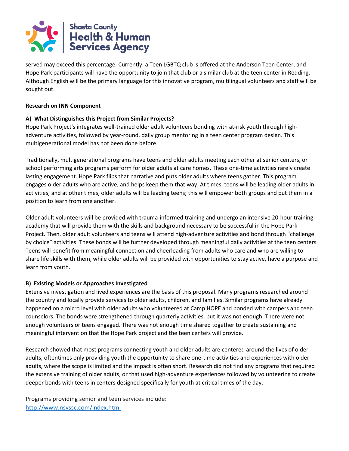

served may exceed this percentage. Currently, a Teen LGBTQ club is offered at the Anderson Teen Center, and Hope Park participants will have the opportunity to join that club or a similar club at the teen center in Redding. Although English will be the primary language for this innovative program, multilingual volunteers and staff will be sought out.

#### **Research on INN Component**

### **A) What Distinguishes this Project from Similar Projects?**

Hope Park Project's integrates well-trained older adult volunteers bonding with at-risk youth through highadventure activities, followed by year-round, daily group mentoring in a teen center program design. This multigenerational model has not been done before.

Traditionally, multigenerational programs have teens and older adults meeting each other at senior centers, or school performing arts programs perform for older adults at care homes. These one-time activities rarely create lasting engagement. Hope Park flips that narrative and puts older adults where teens gather. This program engages older adults who are active, and helps keep them that way. At times, teens will be leading older adults in activities, and at other times, older adults will be leading teens; this will empower both groups and put them in a position to learn from one another.

Older adult volunteers will be provided with trauma-informed training and undergo an intensive 20-hour training academy that will provide them with the skills and background necessary to be successful in the Hope Park Project. Then, older adult volunteers and teens will attend high-adventure activities and bond through "challenge by choice" activities. These bonds will be further developed through meaningful daily activities at the teen centers. Teens will benefit from meaningful connection and cheerleading from adults who care and who are willing to share life skills with them, while older adults will be provided with opportunities to stay active, have a purpose and learn from youth.

### **B) Existing Models or Approaches Investigated**

Extensive investigation and lived experiences are the basis of this proposal. Many programs researched around the country and locally provide services to older adults, children, and families. Similar programs have already happened on a micro level with older adults who volunteered at Camp HOPE and bonded with campers and teen counselors. The bonds were strengthened through quarterly activities, but it was not enough. There were not enough volunteers or teens engaged. There was not enough time shared together to create sustaining and meaningful intervention that the Hope Park project and the teen centers will provide.

Research showed that most programs connecting youth and older adults are centered around the lives of older adults, oftentimes only providing youth the opportunity to share one-time activities and experiences with older adults, where the scope is limited and the impact is often short. Research did not find any programs that required the extensive training of older adults, or that used high-adventure experiences followed by volunteering to create deeper bonds with teens in centers designed specifically for youth at critical times of the day.

Programs providing senior and teen services include: <http://www.nsyssc.com/index.html>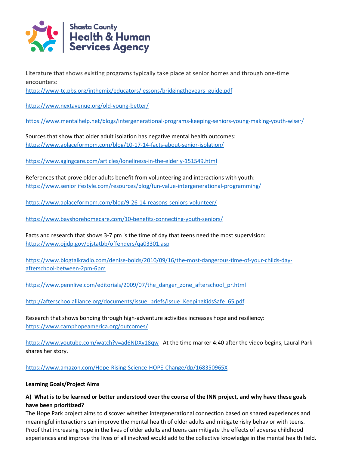

Literature that shows existing programs typically take place at senior homes and through one-time encounters:

https://www-tc.pbs.org/inthemix/educators/lessons/bridgingtheyears\_guide.pdf

<https://www.nextavenue.org/old-young-better/>

<https://www.mentalhelp.net/blogs/intergenerational-programs-keeping-seniors-young-making-youth-wiser/>

Sources that show that older adult isolation has negative mental health outcomes: <https://www.aplaceformom.com/blog/10-17-14-facts-about-senior-isolation/>

<https://www.agingcare.com/articles/loneliness-in-the-elderly-151549.html>

References that prove older adults benefit from volunteering and interactions with youth: <https://www.seniorlifestyle.com/resources/blog/fun-value-intergenerational-programming/>

<https://www.aplaceformom.com/blog/9-26-14-reasons-seniors-volunteer/>

<https://www.bayshorehomecare.com/10-benefits-connecting-youth-seniors/>

Facts and research that shows 3-7 pm is the time of day that teens need the most supervision: <https://www.ojjdp.gov/ojstatbb/offenders/qa03301.asp>

[https://www.blogtalkradio.com/denise-bolds/2010/09/16/the-most-dangerous-time-of-your-childs-day](https://www.blogtalkradio.com/denise-bolds/2010/09/16/the-most-dangerous-time-of-your-childs-day-afterschool-between-2pm-6pm)[afterschool-between-2pm-6pm](https://www.blogtalkradio.com/denise-bolds/2010/09/16/the-most-dangerous-time-of-your-childs-day-afterschool-between-2pm-6pm)

[https://www.pennlive.com/editorials/2009/07/the\\_danger\\_zone\\_afterschool\\_pr.html](https://www.pennlive.com/editorials/2009/07/the_danger_zone_afterschool_pr.html)

[http://afterschoolalliance.org/documents/issue\\_briefs/issue\\_KeepingKidsSafe\\_65.pdf](http://afterschoolalliance.org/documents/issue_briefs/issue_KeepingKidsSafe_65.pdf)

Research that shows bonding through high-adventure activities increases hope and resiliency: <https://www.camphopeamerica.org/outcomes/>

<https://www.youtube.com/watch?v=ad6NDXy18qw>At the time marker 4:40 after the video begins, Laural Park shares her story.

<https://www.amazon.com/Hope-Rising-Science-HOPE-Change/dp/168350965X>

### **Learning Goals/Project Aims**

### **A) What is to be learned or better understood over the course of the INN project, and why have these goals have been prioritized?**

The Hope Park project aims to discover whether intergenerational connection based on shared experiences and meaningful interactions can improve the mental health of older adults and mitigate risky behavior with teens. Proof that increasing hope in the lives of older adults and teens can mitigate the effects of adverse childhood experiences and improve the lives of all involved would add to the collective knowledge in the mental health field.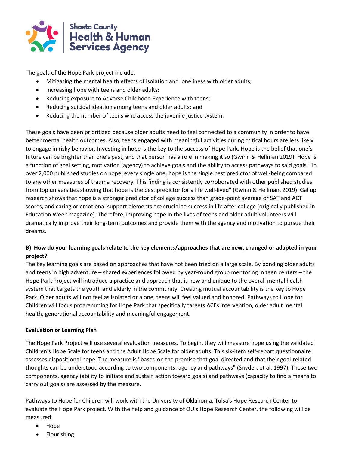

The goals of the Hope Park project include:

- Mitigating the mental health effects of isolation and loneliness with older adults;
- Increasing hope with teens and older adults;
- Reducing exposure to Adverse Childhood Experience with teens;
- Reducing suicidal ideation among teens and older adults; and
- Reducing the number of teens who access the juvenile justice system.

These goals have been prioritized because older adults need to feel connected to a community in order to have better mental health outcomes. Also, teens engaged with meaningful activities during critical hours are less likely to engage in risky behavior. Investing in hope is the key to the success of Hope Park. Hope is the belief that one's future can be brighter than one's past, and that person has a role in making it so (Gwinn & Hellman 2019). Hope is a function of goal setting, motivation (agency) to achieve goals and the ability to access pathways to said goals. "ln over 2,000 published studies on hope, every single one, hope is the single best predictor of well-being compared to any other measures of trauma recovery. This finding is consistently corroborated with other published studies from top universities showing that hope is the best predictor for a life well-lived" (Gwinn & Hellman, 2019). Gallup research shows that hope is a stronger predictor of college success than grade-point average or SAT and ACT scores, and caring or emotional support elements are crucial to success in life after college (originally published in Education Week magazine). Therefore, improving hope in the lives of teens and older adult volunteers will dramatically improve their long-term outcomes and provide them with the agency and motivation to pursue their dreams.

### **B) How do your learning goals relate to the key elements/approaches that are new, changed or adapted in your project?**

The key learning goals are based on approaches that have not been tried on a large scale. By bonding older adults and teens in high adventure – shared experiences followed by year-round group mentoring in teen centers – the Hope Park Project will introduce a practice and approach that is new and unique to the overall mental health system that targets the youth and elderly in the community. Creating mutual accountability is the key to Hope Park. Older adults will not feel as isolated or alone, teens will feel valued and honored. Pathways to Hope for Children will focus programming for Hope Park that specifically targets ACEs intervention, older adult mental health, generational accountability and meaningful engagement.

### **Evaluation or Learning Plan**

The Hope Park Project will use several evaluation measures. To begin, they will measure hope using the validated Children's Hope Scale for teens and the Adult Hope Scale for older adults. This six-item self-report questionnaire assesses dispositional hope. The measure is "based on the premise that goal directed and that their goal-related thoughts can be understood according to two components: agency and pathways" (Snyder, et al, 1997). These two components, agency (ability to initiate and sustain action toward goals) and pathways (capacity to find a means to carry out goals) are assessed by the measure.

Pathways to Hope for Children will work with the University of Oklahoma, Tulsa's Hope Research Center to evaluate the Hope Park project. With the help and guidance of OU's Hope Research Center, the following will be measured:

- Hope
- Flourishing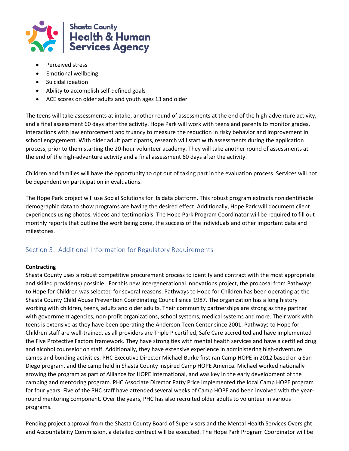

- Perceived stress
- Emotional wellbeing
- Suicidal ideation
- Ability to accomplish self-defined goals
- ACE scores on older adults and youth ages 13 and older

The teens will take assessments at intake, another round of assessments at the end of the high-adventure activity, and a final assessment 60 days after the activity. Hope Park will work with teens and parents to monitor grades, interactions with law enforcement and truancy to measure the reduction in risky behavior and improvement in school engagement. With older adult participants, research will start with assessments during the application process, prior to them starting the 20-hour volunteer academy. They will take another round of assessments at the end of the high-adventure activity and a final assessment 60 days after the activity.

Children and families will have the opportunity to opt out of taking part in the evaluation process. Services will not be dependent on participation in evaluations.

The Hope Park project will use Social Solutions for its data platform. This robust program extracts nonidentifiable demographic data to show programs are having the desired effect. Additionally, Hope Park will document client experiences using photos, videos and testimonials. The Hope Park Program Coordinator will be required to fill out monthly reports that outline the work being done, the success of the individuals and other important data and milestones.

### Section 3: Additional Information for Regulatory Requirements

### **Contracting**

Shasta County uses a robust competitive procurement process to identify and contract with the most appropriate and skilled provider(s) possible. For this new intergenerational Innovations project, the proposal from Pathways to Hope for Children was selected for several reasons. Pathways to Hope for Children has been operating as the Shasta County Child Abuse Prevention Coordinating Council since 1987. The organization has a long history working with children, teens, adults and older adults. Their community partnerships are strong as they partner with government agencies, non-profit organizations, school systems, medical systems and more. Their work with teens is extensive as they have been operating the Anderson Teen Center since 2001. Pathways to Hope for Children staff are well-trained, as all providers are Triple P certified, Safe Care accredited and have implemented the Five Protective Factors framework. They have strong ties with mental health services and have a certified drug and alcohol counselor on staff. Additionally, they have extensive experience in administering high-adventure camps and bonding activities. PHC Executive Director Michael Burke first ran Camp HOPE in 2012 based on a San Diego program, and the camp held in Shasta County inspired Camp HOPE America. Michael worked nationally growing the program as part of Alliance for HOPE International, and was key in the early development of the camping and mentoring program. PHC Associate Director Patty Price implemented the local Camp HOPE program for four years. Five of the PHC staff have attended several weeks of Camp HOPE and been involved with the yearround mentoring component. Over the years, PHC has also recruited older adults to volunteer in various programs.

Pending project approval from the Shasta County Board of Supervisors and the Mental Health Services Oversight and Accountability Commission, a detailed contract will be executed. The Hope Park Program Coordinator will be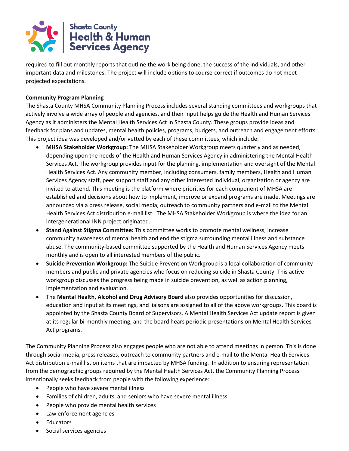

required to fill out monthly reports that outline the work being done, the success of the individuals, and other important data and milestones. The project will include options to course-correct if outcomes do not meet projected expectations.

### **Community Program Planning**

The Shasta County MHSA Community Planning Process includes several standing committees and workgroups that actively involve a wide array of people and agencies, and their input helps guide the Health and Human Services Agency as it administers the Mental Health Services Act in Shasta County. These groups provide ideas and feedback for plans and updates, mental health policies, programs, budgets, and outreach and engagement efforts. This project idea was developed and/or vetted by each of these committees, which include:

- **MHSA Stakeholder Workgroup:** The MHSA Stakeholder Workgroup meets quarterly and as needed, depending upon the needs of the Health and Human Services Agency in administering the Mental Health Services Act. The workgroup provides input for the planning, implementation and oversight of the Mental Health Services Act. Any community member, including consumers, family members, Health and Human Services Agency staff, peer support staff and any other interested individual, organization or agency are invited to attend. This meeting is the platform where priorities for each component of MHSA are established and decisions about how to implement, improve or expand programs are made. Meetings are announced via a press release, social media, outreach to community partners and e-mail to the Mental Health Services Act distribution e-mail list. The MHSA Stakeholder Workgroup is where the idea for an intergenerational INN project originated.
- **Stand Against Stigma Committee:** This committee works to promote mental wellness, increase community awareness of mental health and end the stigma surrounding mental illness and substance abuse. The community-based committee supported by the Health and Human Services Agency meets monthly and is open to all interested members of the public.
- **Suicide Prevention Workgroup:** The Suicide Prevention Workgroup is a local collaboration of community members and public and private agencies who focus on reducing suicide in Shasta County. This active workgroup discusses the progress being made in suicide prevention, as well as action planning, implementation and evaluation.
- The **Mental Health, Alcohol and Drug Advisory Board** also provides opportunities for discussion, education and input at its meetings, and liaisons are assigned to all of the above workgroups. This board is appointed by the Shasta County Board of Supervisors. A Mental Health Services Act update report is given at its regular bi-monthly meeting, and the board hears periodic presentations on Mental Health Services Act programs.

The Community Planning Process also engages people who are not able to attend meetings in person. This is done through social media, press releases, outreach to community partners and e-mail to the Mental Health Services Act distribution e-mail list on items that are impacted by MHSA funding. In addition to ensuring representation from the demographic groups required by the Mental Health Services Act, the Community Planning Process intentionally seeks feedback from people with the following experience:

- People who have severe mental illness
- Families of children, adults, and seniors who have severe mental illness
- People who provide mental health services
- Law enforcement agencies
- **Educators**
- Social services agencies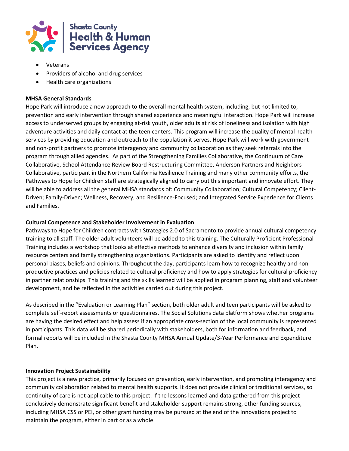

- Veterans
- Providers of alcohol and drug services
- Health care organizations

### **MHSA General Standards**

Hope Park will introduce a new approach to the overall mental health system, including, but not limited to, prevention and early intervention through shared experience and meaningful interaction. Hope Park will increase access to underserved groups by engaging at-risk youth, older adults at risk of loneliness and isolation with high adventure activities and daily contact at the teen centers. This program will increase the quality of mental health services by providing education and outreach to the population it serves. Hope Park will work with government and non-profit partners to promote interagency and community collaboration as they seek referrals into the program through allied agencies. As part of the Strengthening Families Collaborative, the Continuum of Care Collaborative, School Attendance Review Board Restructuring Committee, Anderson Partners and Neighbors Collaborative, participant in the Northern California Resilience Training and many other community efforts, the Pathways to Hope for Children staff are strategically aligned to carry out this important and innovate effort. They will be able to address all the general MHSA standards of: Community Collaboration; Cultural Competency; Client-Driven; Family-Driven; Wellness, Recovery, and Resilience-Focused; and Integrated Service Experience for Clients and Families.

### **Cultural Competence and Stakeholder Involvement in Evaluation**

Pathways to Hope for Children contracts with Strategies 2.0 of Sacramento to provide annual cultural competency training to all staff. The older adult volunteers will be added to this training. The Culturally Proficient Professional Training includes a workshop that looks at effective methods to enhance diversity and inclusion within family resource centers and family strengthening organizations. Participants are asked to identify and reflect upon personal biases, beliefs and opinions. Throughout the day, participants learn how to recognize healthy and nonproductive practices and policies related to cultural proficiency and how to apply strategies for cultural proficiency in partner relationships. This training and the skills learned will be applied in program planning, staff and volunteer development, and be reflected in the activities carried out during this project.

As described in the "Evaluation or Learning Plan" section, both older adult and teen participants will be asked to complete self-report assessments or questionnaires. The Social Solutions data platform shows whether programs are having the desired effect and help assess if an appropriate cross-section of the local community is represented in participants. This data will be shared periodically with stakeholders, both for information and feedback, and formal reports will be included in the Shasta County MHSA Annual Update/3-Year Performance and Expenditure Plan.

### **Innovation Project Sustainability**

This project is a new practice, primarily focused on prevention, early intervention, and promoting interagency and community collaboration related to mental health supports. It does not provide clinical or traditional services, so continuity of care is not applicable to this project. If the lessons learned and data gathered from this project conclusively demonstrate significant benefit and stakeholder support remains strong, other funding sources, including MHSA CSS or PEI, or other grant funding may be pursued at the end of the Innovations project to maintain the program, either in part or as a whole.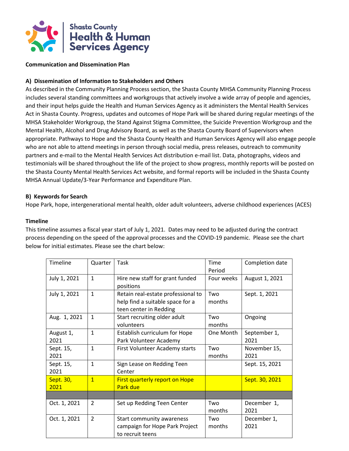

#### **Communication and Dissemination Plan**

### **A) Dissemination of Information to Stakeholders and Others**

As described in the Community Planning Process section, the Shasta County MHSA Community Planning Process includes several standing committees and workgroups that actively involve a wide array of people and agencies, and their input helps guide the Health and Human Services Agency as it administers the Mental Health Services Act in Shasta County. Progress, updates and outcomes of Hope Park will be shared during regular meetings of the MHSA Stakeholder Workgroup, the Stand Against Stigma Committee, the Suicide Prevention Workgroup and the Mental Health, Alcohol and Drug Advisory Board, as well as the Shasta County Board of Supervisors when appropriate. Pathways to Hope and the Shasta County Health and Human Services Agency will also engage people who are not able to attend meetings in person through social media, press releases, outreach to community partners and e-mail to the Mental Health Services Act distribution e-mail list. Data, photographs, videos and testimonials will be shared throughout the life of the project to show progress, monthly reports will be posted on the Shasta County Mental Health Services Act website, and formal reports will be included in the Shasta County MHSA Annual Update/3-Year Performance and Expenditure Plan.

#### **B) Keywords for Search**

Hope Park, hope, intergenerational mental health, older adult volunteers, adverse childhood experiences (ACES)

#### **Timeline**

This timeline assumes a fiscal year start of July 1, 2021. Dates may need to be adjusted during the contract process depending on the speed of the approval processes and the COVID-19 pandemic. Please see the chart below for initial estimates. Please see the chart below:

| <b>Timeline</b>                | Quarter       | Task                                  | Time       | Completion date |  |
|--------------------------------|---------------|---------------------------------------|------------|-----------------|--|
|                                |               |                                       | Period     |                 |  |
| July 1, 2021                   | $\mathbf{1}$  | Hire new staff for grant funded       | Four weeks | August 1, 2021  |  |
|                                |               | positions                             |            |                 |  |
| July 1, 2021                   | $\mathbf{1}$  | Retain real-estate professional to    | Two        | Sept. 1, 2021   |  |
|                                |               | help find a suitable space for a      | months     |                 |  |
|                                |               | teen center in Redding                |            |                 |  |
| Aug. 1, 2021                   | $\mathbf{1}$  | Start recruiting older adult          | Two        | Ongoing         |  |
|                                |               | volunteers                            | months     |                 |  |
| August 1,                      | $\mathbf{1}$  | Establish curriculum for Hope         | One Month  | September 1,    |  |
| 2021                           |               | Park Volunteer Academy                |            | 2021            |  |
| Sept. 15,                      | $\mathbf{1}$  | First Volunteer Academy starts        | Two        | November 15,    |  |
| 2021                           |               |                                       | months     | 2021            |  |
| Sept. 15,                      | $\mathbf{1}$  | Sign Lease on Redding Teen            |            | Sept. 15, 2021  |  |
| 2021                           |               | Center                                |            |                 |  |
| Sept. 30,                      | $\mathbf{1}$  | <b>First quarterly report on Hope</b> |            | Sept. 30, 2021  |  |
| 2021                           |               | Park due                              |            |                 |  |
|                                |               |                                       |            |                 |  |
| Oct. 1, 2021                   | $\mathcal{P}$ | Set up Redding Teen Center            | Two        | December 1,     |  |
|                                |               |                                       | months     | 2021            |  |
| Oct. 1, 2021                   | $\mathcal{P}$ | Start community awareness             | Two        | December 1,     |  |
| campaign for Hope Park Project |               | months                                | 2021       |                 |  |
|                                |               | to recruit teens                      |            |                 |  |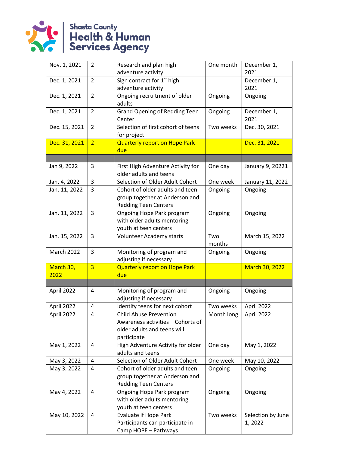

| Nov. 1, 2021      | 2              | Research and plan high                                                                                           | One month     | December 1,                  |  |
|-------------------|----------------|------------------------------------------------------------------------------------------------------------------|---------------|------------------------------|--|
|                   |                | adventure activity                                                                                               |               | 2021                         |  |
| Dec. 1, 2021      | $\overline{2}$ | Sign contract for 1 <sup>st</sup> high                                                                           |               | December 1,                  |  |
|                   |                | adventure activity                                                                                               |               | 2021                         |  |
| Dec. 1, 2021      | 2              | Ongoing recruitment of older<br>adults                                                                           | Ongoing       | Ongoing                      |  |
| Dec. 1, 2021      | $\overline{2}$ | <b>Grand Opening of Redding Teen</b><br>Center                                                                   | Ongoing       | December 1,<br>2021          |  |
| Dec. 15, 2021     | $\overline{2}$ | Selection of first cohort of teens<br>for project                                                                | Two weeks     | Dec. 30, 2021                |  |
| Dec. 31, 2021     | $\overline{2}$ | <b>Quarterly report on Hope Park</b><br>due                                                                      |               | Dec. 31, 2021                |  |
|                   |                |                                                                                                                  |               |                              |  |
| Jan 9, 2022       | 3              | First High Adventure Activity for<br>older adults and teens                                                      | One day       | January 9, 20221             |  |
| Jan. 4, 2022      | 3              | Selection of Older Adult Cohort                                                                                  | One week      | January 11, 2022             |  |
| Jan. 11, 2022     | 3              | Cohort of older adults and teen<br>group together at Anderson and<br><b>Redding Teen Centers</b>                 | Ongoing       | Ongoing                      |  |
| Jan. 11, 2022     | 3              | Ongoing Hope Park program<br>with older adults mentoring<br>youth at teen centers                                | Ongoing       | Ongoing                      |  |
| Jan. 15, 2022     | 3              | Volunteer Academy starts                                                                                         | Two<br>months | March 15, 2022               |  |
| <b>March 2022</b> | 3              | Monitoring of program and<br>adjusting if necessary                                                              | Ongoing       | Ongoing                      |  |
| March 30,         | $\overline{3}$ | <b>Quarterly report on Hope Park</b>                                                                             |               | March 30, 2022               |  |
| 2022              |                | due                                                                                                              |               |                              |  |
|                   |                |                                                                                                                  |               |                              |  |
| April 2022        | 4              | Monitoring of program and<br>adjusting if necessary                                                              | Ongoing       | Ongoing                      |  |
| April 2022        | 4              | Identify teens for next cohort                                                                                   | Two weeks     | April 2022                   |  |
| April 2022        | 4              | <b>Child Abuse Prevention</b><br>Awareness activities - Cohorts of<br>older adults and teens will<br>participate | Month long    | April 2022                   |  |
| May 1, 2022       | 4              | High Adventure Activity for older<br>adults and teens                                                            | One day       | May 1, 2022                  |  |
| May 3, 2022       | 4              | Selection of Older Adult Cohort                                                                                  | One week      | May 10, 2022                 |  |
| May 3, 2022       | 4              | Cohort of older adults and teen<br>group together at Anderson and<br><b>Redding Teen Centers</b>                 | Ongoing       | Ongoing                      |  |
| May 4, 2022       | 4              | Ongoing Hope Park program<br>with older adults mentoring<br>youth at teen centers                                | Ongoing       | Ongoing                      |  |
| May 10, 2022      | 4              | <b>Evaluate if Hope Park</b><br>Participants can participate in<br>Camp HOPE - Pathways                          | Two weeks     | Selection by June<br>1, 2022 |  |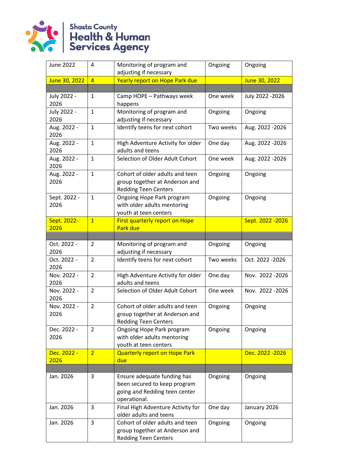

| <b>June 2022</b>     | 4              | Monitoring of program and<br>Ongoing<br>adjusting if necessary                                                          |           | Ongoing           |  |
|----------------------|----------------|-------------------------------------------------------------------------------------------------------------------------|-----------|-------------------|--|
| June 30, 2022        | $\overline{4}$ | Yearly report on Hope Park due                                                                                          |           | June 30, 2022     |  |
|                      |                |                                                                                                                         |           |                   |  |
| July 2022 -<br>2026  | 1              | Camp HOPE - Pathways week<br>happens                                                                                    | One week  | July 2022 - 2026  |  |
| July 2022 -<br>2026  | $\mathbf{1}$   | Monitoring of program and<br>adjusting if necessary                                                                     | Ongoing   | Ongoing           |  |
| Aug. 2022 -<br>2026  | $\mathbf{1}$   | Identify teens for next cohort                                                                                          | Two weeks | Aug. 2022 - 2026  |  |
| Aug. 2022 -<br>2026  | $\mathbf{1}$   | High Adventure Activity for older<br>adults and teens                                                                   | One day   | Aug. 2022 - 2026  |  |
| Aug. 2022 -<br>2026  | $\mathbf{1}$   | Selection of Older Adult Cohort                                                                                         | One week  | Aug. 2022 - 2026  |  |
| Aug. 2022 -<br>2026  | $\mathbf{1}$   | Cohort of older adults and teen<br>group together at Anderson and<br><b>Redding Teen Centers</b>                        | Ongoing   | Ongoing           |  |
| Sept. 2022 -<br>2026 | $\mathbf{1}$   | Ongoing Hope Park program<br>with older adults mentoring<br>youth at teen centers                                       | Ongoing   | Ongoing           |  |
| Sept. 2022-<br>2026  | $\overline{1}$ | First quarterly report on Hope<br>Park due                                                                              |           | Sept. 2022 - 2026 |  |
|                      |                |                                                                                                                         |           |                   |  |
| Oct. 2022 -<br>2026  | 2              | Monitoring of program and<br>adjusting if necessary                                                                     | Ongoing   | Ongoing           |  |
| Oct. 2022 -<br>2026  | $\overline{2}$ | Identify teens for next cohort                                                                                          | Two weeks | Oct. 2022 - 2026  |  |
| Nov. 2022 -<br>2026  | $\overline{2}$ | High Adventure Activity for older<br>adults and teens                                                                   | One day   | Nov. 2022-2026    |  |
| Nov. 2022 -<br>2026  | $\overline{2}$ | Selection of Older Adult Cohort                                                                                         | One week  | Nov. 2022-2026    |  |
| Nov. 2022 -<br>2026  | $\overline{2}$ | Cohort of older adults and teen<br>group together at Anderson and<br><b>Redding Teen Centers</b>                        | Ongoing   | Ongoing           |  |
| Dec. 2022 -<br>2026  | 2              | Ongoing Hope Park program<br>with older adults mentoring<br>youth at teen centers                                       | Ongoing   | Ongoing           |  |
| Dec. 2022 -<br>2026  | $\overline{2}$ | <b>Quarterly report on Hope Park</b><br>due                                                                             |           | Dec. 2022 - 2026  |  |
|                      |                |                                                                                                                         |           |                   |  |
| Jan. 2026            | 3              | Ensure adequate funding has<br>Ongoing<br>been secured to keep program<br>going and Redding teen center<br>operational. |           | Ongoing           |  |
| Jan. 2026            | 3              | Final High Adventure Activity for<br>older adults and teens                                                             | One day   | January 2026      |  |
| Jan. 2026            | 3              | Cohort of older adults and teen<br>group together at Anderson and<br><b>Redding Teen Centers</b>                        | Ongoing   | Ongoing           |  |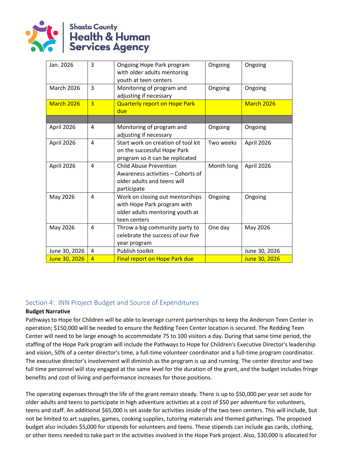

| Jan. 2026         | 3              | Ongoing Hope Park program<br>with older adults mentoring<br>youth at teen centers                                 | Ongoing    | Ongoing       |
|-------------------|----------------|-------------------------------------------------------------------------------------------------------------------|------------|---------------|
| <b>March 2026</b> | 3              | Monitoring of program and<br>adjusting if necessary                                                               | Ongoing    | Ongoing       |
| <b>March 2026</b> | $\overline{3}$ | <b>Quarterly report on Hope Park</b><br>due                                                                       |            | March 2026    |
|                   |                |                                                                                                                   |            |               |
| April 2026        | 4              | Monitoring of program and<br>adjusting if necessary                                                               | Ongoing    | Ongoing       |
| April 2026        | 4              | Start work on creation of tool kit<br>on the successful Hope Park<br>program so it can be replicated              | Two weeks  | April 2026    |
| April 2026        | 4              | <b>Child Abuse Prevention</b><br>Awareness activities – Cohorts of<br>older adults and teens will<br>participate  | Month long | April 2026    |
| May 2026          | 4              | Work on closing out mentorships<br>with Hope Park program with<br>older adults mentoring youth at<br>teen centers | Ongoing    | Ongoing       |
| May 2026          | 4              | Throw a big community party to<br>celebrate the success of our five<br>year program                               | One day    | May 2026      |
| June 30, 2026     | 4              | Publish toolkit                                                                                                   |            | June 30, 2026 |
| June 30, 2026     | $\overline{4}$ | Final report on Hope Park due                                                                                     |            | June 30, 2026 |

### Section 4: INN Project Budget and Source of Expenditures

### **Budget Narrative**

Pathways to Hope for Children will be able to leverage current partnerships to keep the Anderson Teen Center in operation; \$150,000 will be needed to ensure the Redding Teen Center location is secured. The Redding Teen Center will need to be large enough to accommodate 75 to 100 visitors a day. During that same time period, the staffing of the Hope Park program will include the Pathways to Hope for Children's Executive Director's leadership and vision, 50% of a center director's time, a full-time volunteer coordinator and a full-time program coordinator. The executive director's involvement will diminish as the program is up and running. The center director and two full time personnel will stay engaged at the same level for the duration of the grant, and the budget includes fringe benefits and cost of living and performance increases for those positions.

The operating expenses through the life of the grant remain steady. There is up to \$50,000 per year set aside for older adults and teens to participate in high adventure activities at a cost of \$50 per adventure for volunteers, teens and staff. An additional \$65,000 is set aside for activities inside of the two teen centers. This will include, but not be limited to art supplies, games, cooking supplies, tutoring materials and themed gatherings. The proposed budget also includes \$5,000 for stipends for volunteers and teens. These stipends can include gas cards, clothing, or other items needed to take part in the activities involved in the Hope Park project. Also, \$30,000 is allocated for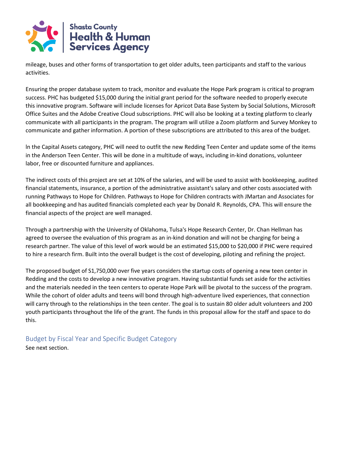

mileage, buses and other forms of transportation to get older adults, teen participants and staff to the various activities.

Ensuring the proper database system to track, monitor and evaluate the Hope Park program is critical to program success. PHC has budgeted \$15,000 during the initial grant period for the software needed to properly execute this innovative program. Software will include licenses for Apricot Data Base System by Social Solutions, Microsoft Office Suites and the Adobe Creative Cloud subscriptions. PHC will also be looking at a texting platform to clearly communicate with all participants in the program. The program will utilize a Zoom platform and Survey Monkey to communicate and gather information. A portion of these subscriptions are attributed to this area of the budget.

ln the Capital Assets category, PHC will need to outfit the new Redding Teen Center and update some of the items in the Anderson Teen Center. This will be done in a multitude of ways, including in-kind donations, volunteer labor, free or discounted furniture and appliances.

The indirect costs of this project are set at 10% of the salaries, and will be used to assist with bookkeeping, audited financial statements, insurance, a portion of the administrative assistant's salary and other costs associated with running Pathways to Hope for Children. Pathways to Hope for Children contracts with JMartan and Associates for all bookkeeping and has audited financials completed each year by Donald R. Reynolds, CPA. This will ensure the financial aspects of the project are well managed.

Through a partnership with the University of Oklahoma, Tulsa's Hope Research Center, Dr. Chan Hellman has agreed to oversee the evaluation of this program as an in-kind donation and will not be charging for being a research partner. The value of this level of work would be an estimated \$15,000 to \$20,000 if PHC were required to hire a research firm. Built into the overall budget is the cost of developing, piloting and refining the project.

The proposed budget of S1,750,000 over five years considers the startup costs of opening a new teen center in Redding and the costs to develop a new innovative program. Having substantial funds set aside for the activities and the materials needed in the teen centers to operate Hope Park will be pivotal to the success of the program. While the cohort of older adults and teens will bond through high-adventure lived experiences, that connection will carry through to the relationships in the teen center. The goal is to sustain 80 older adult volunteers and 200 youth participants throughout the life of the grant. The funds in this proposal allow for the staff and space to do this.

Budget by Fiscal Year and Specific Budget Category See next section.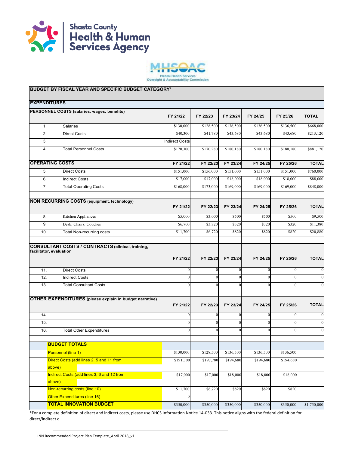



| <b>EXPENDITURES</b>                         |                                                                |                       |                      |                          |                |                          |                                  |
|---------------------------------------------|----------------------------------------------------------------|-----------------------|----------------------|--------------------------|----------------|--------------------------|----------------------------------|
| PERSONNEL COSTS (salaries, wages, benefits) |                                                                | FY 21/22              | FY 22/23             | FY 23/24                 | FY 24/25       | FY 25/26                 | <b>TOTAL</b>                     |
| 1.                                          | Salaries                                                       | \$130,000             | \$128,500            | \$136,500                | \$136,500      | \$136,500                | \$668,000                        |
| 2.                                          | <b>Direct Costs</b>                                            | \$40,300              | \$41,780             | \$43,680                 | \$43,680       | \$43,680                 | \$213,120                        |
| 3.                                          |                                                                | <b>Indirect Costs</b> |                      |                          |                |                          |                                  |
| 4.                                          | <b>Total Personnel Costs</b>                                   | \$170,300             | \$170,280            | \$180,180                | \$180,180      | \$180,180                | \$881,120                        |
| <b>OPERATING COSTS</b>                      |                                                                | FY 21/22              | FY 22/23             | FY 23/24                 | FY 24/25       | FY 25/26                 | <b>TOTAL</b>                     |
| 5.                                          | <b>Direct Costs</b>                                            | \$151,000             | \$156,000            | \$151,000                | \$151,000      | \$151,000                | \$760,000                        |
| 6.                                          | <b>Indirect Costs</b>                                          | \$17,000              | \$17,000             | \$18,000                 | \$18,000       | \$18,000                 | \$88,000                         |
| 7.                                          | <b>Total Operating Costs</b>                                   | \$168,000             | \$173,000            | \$169,000                | \$169,000      | \$169,000                | \$848,000                        |
|                                             | <b>NON RECURRING COSTS (equipment, technology)</b>             | FY 21/22              | FY 22/23             | FY 23/24                 | FY 24/25       | FY 25/26                 | <b>TOTAL</b>                     |
| 8.                                          | Kitchen Appliances                                             | \$5,000               | \$3,000              | \$500                    | \$500          | \$500                    | \$9,500                          |
| 9.                                          | Desk, Chairs, Couches                                          | \$6,700               | \$3,720              | \$320                    | \$320          | \$320                    | \$11,380                         |
| 10.                                         | <b>Total Non-recurring costs</b>                               | \$11,700              | \$6,720              | \$820                    | \$820          | \$820                    | \$20,880                         |
| facilitator, evaluation<br>11.              | <b>Direct Costs</b>                                            | FY 21/22<br>$\theta$  | FY 22/23<br>$\Omega$ | FY 23/24<br>$\mathbf{0}$ | FY 24/25<br>0  | FY 25/26<br>$\mathbf{0}$ | <b>TOTAL</b><br>$\boldsymbol{0}$ |
| 12.                                         | <b>Indirect Costs</b>                                          | $\theta$              |                      | $\boldsymbol{0}$         | $\overline{0}$ | $\theta$                 | $\overline{0}$                   |
| 13.                                         | <b>Total Consultant Costs</b>                                  | $\Omega$              | $\Omega$             | $\mathbf{0}$             | $\Omega$       | $\Omega$                 | $\boldsymbol{0}$                 |
|                                             | <b>OTHER EXPENDITURES</b> (please explain in budget narrative) | FY 21/22              | FY 22/23             | FY 23/24                 | FY 24/25       | FY 25/26                 | <b>TOTAL</b>                     |
| 14.                                         |                                                                | $\Omega$              |                      | $\mathbf{0}$             | 0              | $\theta$                 | $\boldsymbol{0}$                 |
| 15.                                         |                                                                | $\theta$              | $\Omega$             | $\mathbf{0}$             | $\Omega$       | $\mathbf{0}$             | $\boldsymbol{0}$                 |
| 16.                                         | <b>Total Other Expenditures</b>                                | $\theta$              | $\Omega$             | $\mathbf{0}$             | 0              | $\theta$                 | $\boldsymbol{0}$                 |
|                                             | <b>BUDGET TOTALS</b>                                           |                       |                      |                          |                |                          |                                  |
| Personnel (line 1)                          |                                                                | \$130,000             | \$128,500            | \$136,500                | \$136,500      | \$136,500                |                                  |
| above)                                      | Direct Costs (add lines 2, 5 and 11 from                       | \$191,300             | \$197,780            | \$194,680                | \$194,680      | \$194,680                |                                  |
| above)                                      | Indirect Costs (add lines 3, 6 and 12 from                     | \$17,000              | \$17,000             | \$18,000                 | \$18,000       | \$18,000                 |                                  |
|                                             | Non-recurring costs (line 10)                                  | \$11,700              | \$6,720              | \$820                    | \$820          | \$820                    |                                  |
|                                             | Other Expenditures (line 16)<br><b>TOTAL INNOVATION BUDGET</b> | $\Omega$<br>\$350,000 | \$350,000            | \$350,000                | \$350,000      | \$350,000                | \$1,750,000                      |
|                                             |                                                                |                       |                      |                          |                |                          |                                  |

\*For a complete definition of direct and indirect costs, please use DHCS Information Notice 14-033. This notice aligns with the federal definition for direct/indirect c